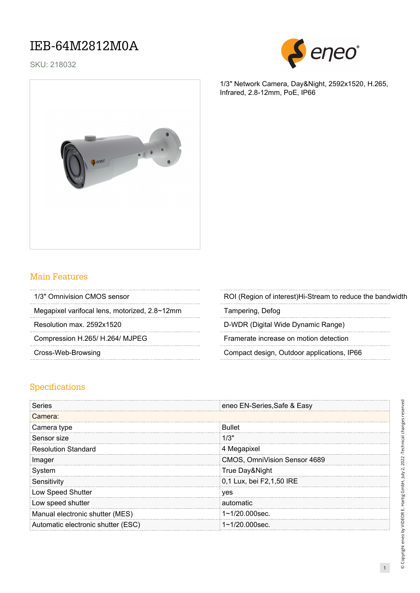SKU: 218032



1/3" Network Camera, Day&Night, 2592x1520, H.265, Infrared, 2.8-12mm, PoE, IP66



#### Main Features

| 1/3" Omnivision CMOS sensor |  |  |
|-----------------------------|--|--|

Megapixel varifocal lens, motorized, 2.8~12mm Tampering, Defog

ROI (Region of interest)Hi-Stream to reduce the bandwidth

Resolution max. 2592x1520 **D-WDR** (Digital Wide Dynamic Range)

Compression H.265/ H.264/ MJPEG Framerate increase on motion detection

Cross-Web-Browsing Compact design, Outdoor applications, IP66

#### Specifications

| Series                             | eneo EN-Series, Safe & Easy  |
|------------------------------------|------------------------------|
| Camera:                            |                              |
| Camera type                        | <b>Bullet</b>                |
| Sensor size                        | 1/3"                         |
| <b>Resolution Standard</b>         | 4 Megapixel                  |
| Imager                             | CMOS, OmniVision Sensor 4689 |
| System                             | True Day&Night               |
| Sensitivity                        | 0,1 Lux, bei F2,1,50 IRE     |
| Low Speed Shutter                  | yes                          |
| Low speed shutter                  | automatic                    |
| Manual electronic shutter (MES)    | $1 - 1/20.000$ sec.          |
| Automatic electronic shutter (ESC) | 1~1/20.000sec.               |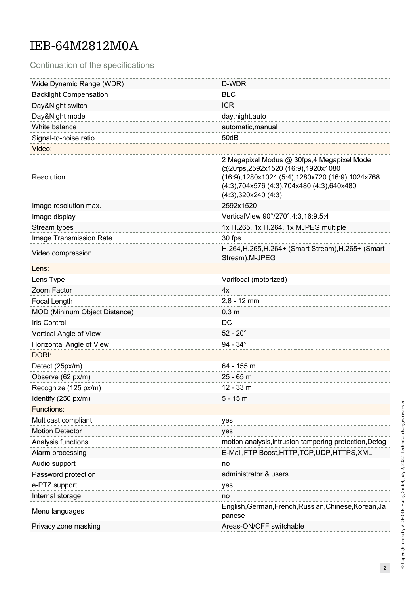Continuation of the specifications

| Wide Dynamic Range (WDR)       | D-WDR                                                                                                                                                                                                    |  |  |  |
|--------------------------------|----------------------------------------------------------------------------------------------------------------------------------------------------------------------------------------------------------|--|--|--|
| <b>Backlight Compensation</b>  | <b>BLC</b>                                                                                                                                                                                               |  |  |  |
| Day&Night switch               | <b>ICR</b>                                                                                                                                                                                               |  |  |  |
| Day&Night mode                 | day, night, auto                                                                                                                                                                                         |  |  |  |
| White balance                  | automatic, manual                                                                                                                                                                                        |  |  |  |
| Signal-to-noise ratio          | 50dB                                                                                                                                                                                                     |  |  |  |
| Video:                         |                                                                                                                                                                                                          |  |  |  |
| Resolution                     | 2 Megapixel Modus @ 30fps,4 Megapixel Mode<br>@20fps,2592x1520 (16:9),1920x1080<br>(16:9), 1280x1024 (5:4), 1280x720 (16:9), 1024x768<br>(4:3),704x576 (4:3),704x480 (4:3),640x480<br>(4:3),320x240(4:3) |  |  |  |
| Image resolution max.          | 2592x1520                                                                                                                                                                                                |  |  |  |
| Image display                  | VerticalView 90°/270°,4:3,16:9,5:4                                                                                                                                                                       |  |  |  |
| Stream types                   | 1x H.265, 1x H.264, 1x MJPEG multiple                                                                                                                                                                    |  |  |  |
| <b>Image Transmission Rate</b> | 30 fps                                                                                                                                                                                                   |  |  |  |
| Video compression              | H.264, H.265, H.264+ (Smart Stream), H.265+ (Smart<br>Stream), M-JPEG                                                                                                                                    |  |  |  |
| Lens:                          |                                                                                                                                                                                                          |  |  |  |
| Lens Type                      | Varifocal (motorized)                                                                                                                                                                                    |  |  |  |
| Zoom Factor                    | 4x                                                                                                                                                                                                       |  |  |  |
| Focal Length                   | $2,8 - 12$ mm                                                                                                                                                                                            |  |  |  |
| MOD (Mininum Object Distance)  | $0,3$ m                                                                                                                                                                                                  |  |  |  |
| Iris Control                   | DC                                                                                                                                                                                                       |  |  |  |
| Vertical Angle of View         | $52 - 20^{\circ}$                                                                                                                                                                                        |  |  |  |
| Horizontal Angle of View       | $94 - 34^{\circ}$                                                                                                                                                                                        |  |  |  |
| DORI:                          |                                                                                                                                                                                                          |  |  |  |
| Detect (25px/m)                | 64 - 155 m                                                                                                                                                                                               |  |  |  |
| Observe (62 px/m)              | 25 - 65 m                                                                                                                                                                                                |  |  |  |
| Recognize (125 px/m)           | $12 - 33$ m                                                                                                                                                                                              |  |  |  |
| Identify (250 px/m)            | $5 - 15m$                                                                                                                                                                                                |  |  |  |
| <b>Functions:</b>              |                                                                                                                                                                                                          |  |  |  |
| Multicast compliant            | yes                                                                                                                                                                                                      |  |  |  |
| <b>Motion Detector</b>         | yes                                                                                                                                                                                                      |  |  |  |
| Analysis functions             | motion analysis, intrusion, tampering protection, Defog                                                                                                                                                  |  |  |  |
| Alarm processing               | E-Mail,FTP,Boost,HTTP,TCP,UDP,HTTPS,XML                                                                                                                                                                  |  |  |  |
| Audio support                  | no                                                                                                                                                                                                       |  |  |  |
| Password protection            | administrator & users                                                                                                                                                                                    |  |  |  |
| e-PTZ support                  | yes                                                                                                                                                                                                      |  |  |  |
| Internal storage               | no                                                                                                                                                                                                       |  |  |  |
| Menu languages                 | English, German, French, Russian, Chinese, Korean, Ja<br>panese                                                                                                                                          |  |  |  |
| Privacy zone masking           | Areas-ON/OFF switchable                                                                                                                                                                                  |  |  |  |

2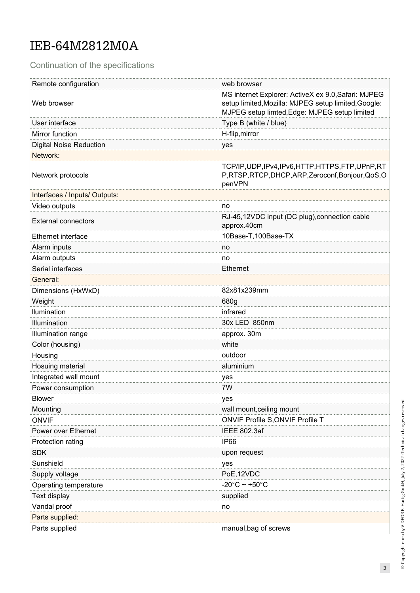Continuation of the specifications

| Remote configuration           | web browser                                                                                                                                                  |  |  |  |
|--------------------------------|--------------------------------------------------------------------------------------------------------------------------------------------------------------|--|--|--|
| Web browser                    | MS internet Explorer: ActiveX ex 9.0, Safari: MJPEG<br>setup limited, Mozilla: MJPEG setup limited, Google:<br>MJPEG setup limted, Edge: MJPEG setup limited |  |  |  |
| User interface                 | Type B (white / blue)                                                                                                                                        |  |  |  |
| Mirror function                | H-flip, mirror                                                                                                                                               |  |  |  |
| <b>Digital Noise Reduction</b> | yes                                                                                                                                                          |  |  |  |
| Network:                       |                                                                                                                                                              |  |  |  |
| Network protocols              | TCP/IP, UDP, IPv4, IPv6, HTTP, HTTPS, FTP, UPnP, RT<br>P,RTSP,RTCP,DHCP,ARP,Zeroconf,Bonjour,QoS,O<br>penVPN                                                 |  |  |  |
| Interfaces / Inputs/ Outputs:  |                                                                                                                                                              |  |  |  |
| Video outputs                  | no                                                                                                                                                           |  |  |  |
| <b>External connectors</b>     | RJ-45,12VDC input (DC plug), connection cable<br>approx.40cm                                                                                                 |  |  |  |
| Ethernet interface             | 10Base-T,100Base-TX                                                                                                                                          |  |  |  |
| Alarm inputs                   | no                                                                                                                                                           |  |  |  |
| Alarm outputs                  | no                                                                                                                                                           |  |  |  |
| Serial interfaces              | <b>Ethernet</b>                                                                                                                                              |  |  |  |
| General:                       |                                                                                                                                                              |  |  |  |
| Dimensions (HxWxD)             | 82x81x239mm                                                                                                                                                  |  |  |  |
| Weight                         | 680g                                                                                                                                                         |  |  |  |
| Ilumination                    | infrared                                                                                                                                                     |  |  |  |
| Illumination                   | 30x LED 850nm                                                                                                                                                |  |  |  |
| Illumination range             | approx. 30m                                                                                                                                                  |  |  |  |
| Color (housing)                | white                                                                                                                                                        |  |  |  |
| Housing                        | outdoor                                                                                                                                                      |  |  |  |
| Hosuing material               | aluminium                                                                                                                                                    |  |  |  |
| Integrated wall mount          | yes                                                                                                                                                          |  |  |  |
| Power consumption              | 7W                                                                                                                                                           |  |  |  |
| <b>Blower</b>                  | yes                                                                                                                                                          |  |  |  |
| Mounting                       | wall mount, ceiling mount                                                                                                                                    |  |  |  |
| <b>ONVIF</b>                   | <b>ONVIF Profile S, ONVIF Profile T</b>                                                                                                                      |  |  |  |
| Power over Ethernet            | <b>IEEE 802.3af</b>                                                                                                                                          |  |  |  |
| Protection rating              | <b>IP66</b>                                                                                                                                                  |  |  |  |
| <b>SDK</b>                     | upon request                                                                                                                                                 |  |  |  |
| Sunshield                      | yes                                                                                                                                                          |  |  |  |
| Supply voltage                 | PoE, 12VDC                                                                                                                                                   |  |  |  |
| Operating temperature          | $-20^{\circ}$ C ~ +50 $^{\circ}$ C                                                                                                                           |  |  |  |
| Text display                   | supplied                                                                                                                                                     |  |  |  |
| Vandal proof                   | no                                                                                                                                                           |  |  |  |
| Parts supplied:                |                                                                                                                                                              |  |  |  |
| Parts supplied                 | manual, bag of screws                                                                                                                                        |  |  |  |